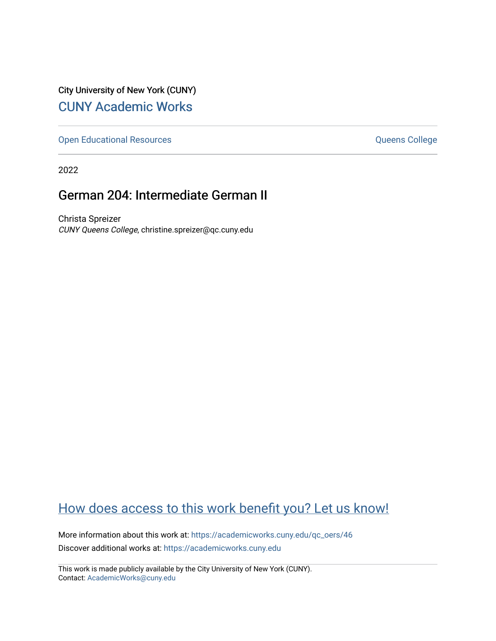City University of New York (CUNY) [CUNY Academic Works](https://academicworks.cuny.edu/) 

[Open Educational Resources](https://academicworks.cuny.edu/qc_oers) **College** Queens College

2022

## German 204: Intermediate German II

Christa Spreizer CUNY Queens College, christine.spreizer@qc.cuny.edu

# [How does access to this work benefit you? Let us know!](http://ols.cuny.edu/academicworks/?ref=https://academicworks.cuny.edu/qc_oers/46)

More information about this work at: [https://academicworks.cuny.edu/qc\\_oers/46](https://academicworks.cuny.edu/qc_oers/46) Discover additional works at: [https://academicworks.cuny.edu](https://academicworks.cuny.edu/?)

This work is made publicly available by the City University of New York (CUNY). Contact: [AcademicWorks@cuny.edu](mailto:AcademicWorks@cuny.edu)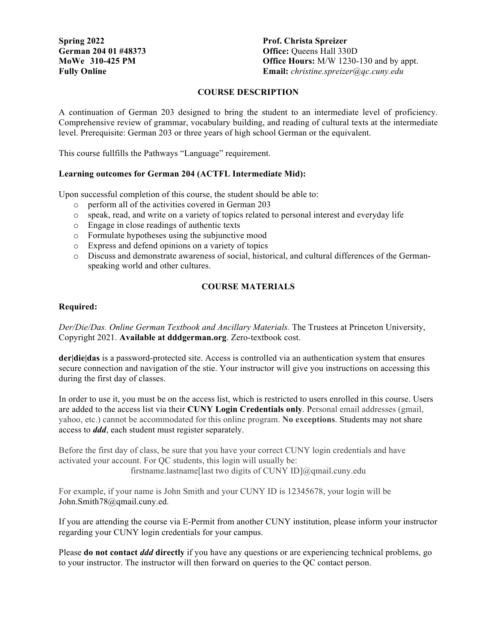**Spring 2022 Prof. Christa Spreizer** 

**German 204 01 #48373 Office:** Queens Hall 330D **MoWe 310-425 PM Office Hours:** M/W 1230-130 and by appt. **Fully Online Email:** *christine.spreizer@qc.cuny.edu*

## **COURSE DESCRIPTION**

A continuation of German 203 designed to bring the student to an intermediate level of proficiency. Comprehensive review of grammar, vocabulary building, and reading of cultural texts at the intermediate level. Prerequisite: German 203 or three years of high school German or the equivalent.

This course fullfills the Pathways "Language" requirement.

## **Learning outcomes for German 204 (ACTFL Intermediate Mid):**

Upon successful completion of this course, the student should be able to:

- o perform all of the activities covered in German 203
- o speak, read, and write on a variety of topics related to personal interest and everyday life
- o Engage in close readings of authentic texts
- o Formulate hypotheses using the subjunctive mood
- o Express and defend opinions on a variety of topics
- o Discuss and demonstrate awareness of social, historical, and cultural differences of the Germanspeaking world and other cultures.

## **COURSE MATERIALS**

### **Required:**

*Der/Die/Das. Online German Textbook and Ancillary Materials.* The Trustees at Princeton University, Copyright 2021. **Available at dddgerman.org**. Zero-textbook cost.

**der|die|das** is a password-protected site. Access is controlled via an authentication system that ensures secure connection and navigation of the stie. Your instructor will give you instructions on accessing this during the first day of classes.

In order to use it, you must be on the access list, which is restricted to users enrolled in this course. Users are added to the access list via their **CUNY Login Credentials only**. Personal email addresses (gmail, yahoo, etc.) cannot be accommodated for this online program. **No exceptions**. Students may not share access to *ddd*, each student must register separately.

Before the first day of class, be sure that you have your correct CUNY login credentials and have activated your account. For QC students, this login will usually be: firstname.lastname[last two digits of CUNY ID]@qmail.cuny.edu

For example, if your name is John Smith and your CUNY ID is 12345678, your login will be John.Smith78@qmail.cuny.ed.

If you are attending the course via E-Permit from another CUNY institution, please inform your instructor regarding your CUNY login credentials for your campus.

Please **do not contact** *ddd* **directly** if you have any questions or are experiencing technical problems, go to your instructor. The instructor will then forward on queries to the QC contact person.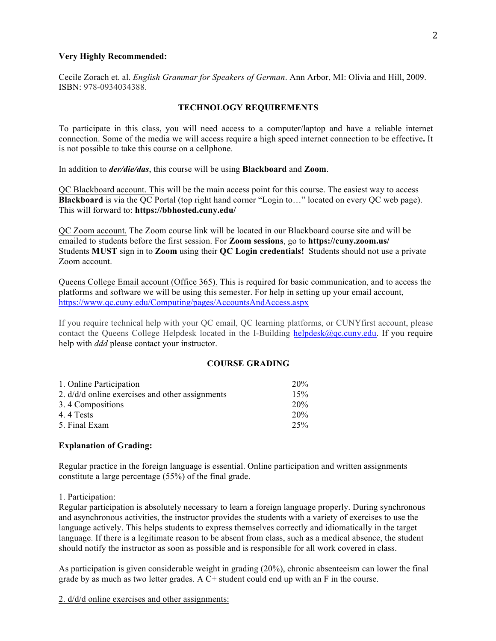#### **Very Highly Recommended:**

Cecile Zorach et. al. *English Grammar for Speakers of German*. Ann Arbor, MI: Olivia and Hill, 2009. ISBN: 978-0934034388.

## **TECHNOLOGY REQUIREMENTS**

To participate in this class, you will need access to a computer/laptop and have a reliable internet connection. Some of the media we will access require a high speed internet connection to be effective**.** It is not possible to take this course on a cellphone.

In addition to *der/die/das*, this course will be using **Blackboard** and **Zoom**.

QC Blackboard account. This will be the main access point for this course. The easiest way to access **Blackboard** is via the QC Portal (top right hand corner "Login to…" located on every QC web page). This will forward to: **https://bbhosted.cuny.edu/**

QC Zoom account. The Zoom course link will be located in our Blackboard course site and will be emailed to students before the first session. For **Zoom sessions**, go to **https://cuny.zoom.us/** Students **MUST** sign in to **Zoom** using their **QC Login credentials!** Students should not use a private Zoom account.

Queens College Email account (Office 365). This is required for basic communication, and to access the platforms and software we will be using this semester. For help in setting up your email account, https://www.qc.cuny.edu/Computing/pages/AccountsAndAccess.aspx

If you require technical help with your QC email, QC learning platforms, or CUNYfirst account, please contact the Queens College Helpdesk located in the I-Building helpdesk $\omega$ <sub>gc</sub>.cuny.edu. If you require help with *ddd* please contact your instructor.

#### **COURSE GRADING**

| 1. Online Participation                           | 20%             |
|---------------------------------------------------|-----------------|
| 2. $d/d/d$ online exercises and other assignments | 15%             |
| 3.4 Compositions                                  | 20%             |
| 4.4 Tests                                         | 20 <sub>%</sub> |
| 5. Final Exam                                     | 25%             |

#### **Explanation of Grading:**

Regular practice in the foreign language is essential. Online participation and written assignments constitute a large percentage (55%) of the final grade.

1. Participation:

Regular participation is absolutely necessary to learn a foreign language properly. During synchronous and asynchronous activities, the instructor provides the students with a variety of exercises to use the language actively. This helps students to express themselves correctly and idiomatically in the target language. If there is a legitimate reason to be absent from class, such as a medical absence, the student should notify the instructor as soon as possible and is responsible for all work covered in class.

As participation is given considerable weight in grading (20%), chronic absenteeism can lower the final grade by as much as two letter grades. A C+ student could end up with an F in the course.

2. d/d/d online exercises and other assignments: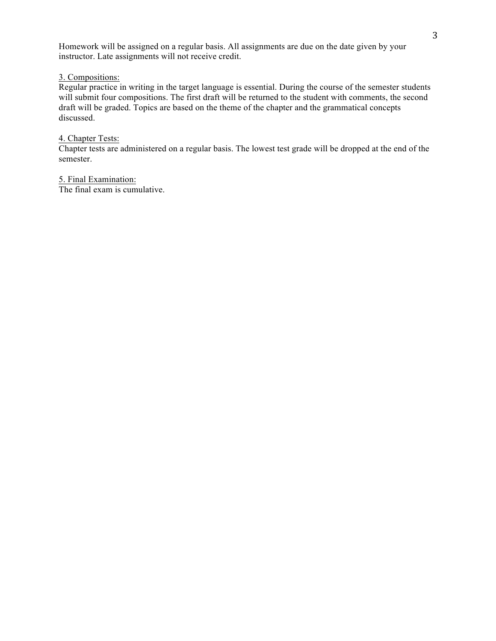Homework will be assigned on a regular basis. All assignments are due on the date given by your instructor. Late assignments will not receive credit.

3. Compositions:

Regular practice in writing in the target language is essential. During the course of the semester students will submit four compositions. The first draft will be returned to the student with comments, the second draft will be graded. Topics are based on the theme of the chapter and the grammatical concepts discussed.

## 4. Chapter Tests:

Chapter tests are administered on a regular basis. The lowest test grade will be dropped at the end of the semester.

5. Final Examination:

The final exam is cumulative.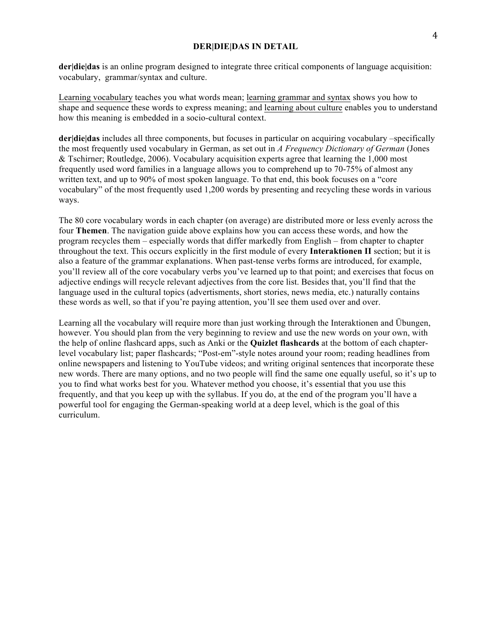**der|die|das** is an online program designed to integrate three critical components of language acquisition: vocabulary, grammar/syntax and culture.

Learning vocabulary teaches you what words mean; learning grammar and syntax shows you how to shape and sequence these words to express meaning; and learning about culture enables you to understand how this meaning is embedded in a socio-cultural context.

**der|die|das** includes all three components, but focuses in particular on acquiring vocabulary –specifically the most frequently used vocabulary in German, as set out in *A Frequency Dictionary of German* (Jones & Tschirner; Routledge, 2006). Vocabulary acquisition experts agree that learning the 1,000 most frequently used word families in a language allows you to comprehend up to 70-75% of almost any written text, and up to 90% of most spoken language. To that end, this book focuses on a "core vocabulary" of the most frequently used 1,200 words by presenting and recycling these words in various ways.

The 80 core vocabulary words in each chapter (on average) are distributed more or less evenly across the four **Themen**. The navigation guide above explains how you can access these words, and how the program recycles them – especially words that differ markedly from English – from chapter to chapter throughout the text. This occurs explicitly in the first module of every **Interaktionen II** section; but it is also a feature of the grammar explanations. When past-tense verbs forms are introduced, for example, you'll review all of the core vocabulary verbs you've learned up to that point; and exercises that focus on adjective endings will recycle relevant adjectives from the core list. Besides that, you'll find that the language used in the cultural topics (advertisments, short stories, news media, etc.) naturally contains these words as well, so that if you're paying attention, you'll see them used over and over.

Learning all the vocabulary will require more than just working through the Interaktionen and Übungen, however. You should plan from the very beginning to review and use the new words on your own, with the help of online flashcard apps, such as Anki or the **Quizlet flashcards** at the bottom of each chapterlevel vocabulary list; paper flashcards; "Post-em"-style notes around your room; reading headlines from online newspapers and listening to YouTube videos; and writing original sentences that incorporate these new words. There are many options, and no two people will find the same one equally useful, so it's up to you to find what works best for you. Whatever method you choose, it's essential that you use this frequently, and that you keep up with the syllabus. If you do, at the end of the program you'll have a powerful tool for engaging the German-speaking world at a deep level, which is the goal of this curriculum.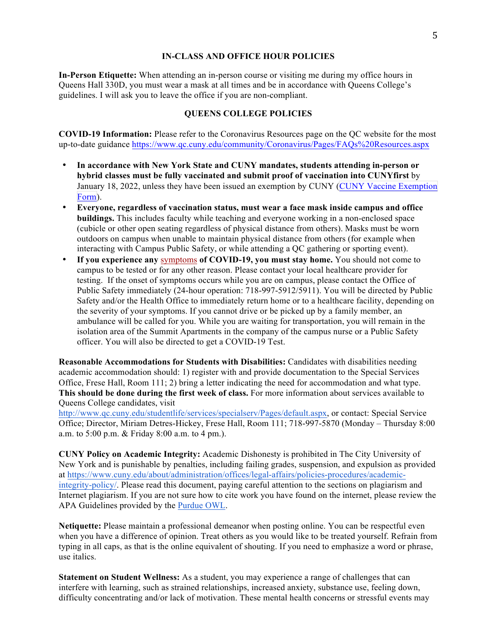#### **IN-CLASS AND OFFICE HOUR POLICIES**

**In-Person Etiquette:** When attending an in-person course or visiting me during my office hours in Queens Hall 330D, you must wear a mask at all times and be in accordance with Queens College's guidelines. I will ask you to leave the office if you are non-compliant.

#### **QUEENS COLLEGE POLICIES**

**COVID-19 Information:** Please refer to the Coronavirus Resources page on the QC website for the most up-to-date guidance https://www.qc.cuny.edu/community/Coronavirus/Pages/FAQs%20Resources.aspx

- **In accordance with New York State and CUNY mandates, students attending in-person or hybrid classes must be fully vaccinated and submit proof of vaccination into CUNYfirst** by January 18, 2022, unless they have been issued an exemption by CUNY (CUNY Vaccine Exemption Form).
- **Everyone, regardless of vaccination status, must wear a face mask inside campus and office buildings.** This includes faculty while teaching and everyone working in a non-enclosed space (cubicle or other open seating regardless of physical distance from others). Masks must be worn outdoors on campus when unable to maintain physical distance from others (for example when interacting with Campus Public Safety, or while attending a QC gathering or sporting event).
- **If you experience any** symptoms **of COVID-19, you must stay home.** You should not come to campus to be tested or for any other reason. Please contact your local healthcare provider for testing. If the onset of symptoms occurs while you are on campus, please contact the Office of Public Safety immediately (24-hour operation: 718-997-5912/5911). You will be directed by Public Safety and/or the Health Office to immediately return home or to a healthcare facility, depending on the severity of your symptoms. If you cannot drive or be picked up by a family member, an ambulance will be called for you. While you are waiting for transportation, you will remain in the isolation area of the Summit Apartments in the company of the campus nurse or a Public Safety officer. You will also be directed to get a COVID-19 Test.

**Reasonable Accommodations for Students with Disabilities:** Candidates with disabilities needing academic accommodation should: 1) register with and provide documentation to the Special Services Office, Frese Hall, Room 111; 2) bring a letter indicating the need for accommodation and what type. **This should be done during the first week of class.** For more information about services available to Queens College candidates, visit

http://www.qc.cuny.edu/studentlife/services/specialserv/Pages/default.aspx, or contact: Special Service Office; Director, Miriam Detres-Hickey, Frese Hall, Room 111; 718-997-5870 (Monday – Thursday 8:00 a.m. to 5:00 p.m. & Friday 8:00 a.m. to 4 pm.).

**CUNY Policy on Academic Integrity:** Academic Dishonesty is prohibited in The City University of New York and is punishable by penalties, including failing grades, suspension, and expulsion as provided at https://www.cuny.edu/about/administration/offices/legal-affairs/policies-procedures/academicintegrity-policy/. Please read this document, paying careful attention to the sections on plagiarism and Internet plagiarism. If you are not sure how to cite work you have found on the internet, please review the APA Guidelines provided by the Purdue OWL.

**Netiquette:** Please maintain a professional demeanor when posting online. You can be respectful even when you have a difference of opinion. Treat others as you would like to be treated yourself. Refrain from typing in all caps, as that is the online equivalent of shouting. If you need to emphasize a word or phrase, use italics.

**Statement on Student Wellness:** As a student, you may experience a range of challenges that can interfere with learning, such as strained relationships, increased anxiety, substance use, feeling down, difficulty concentrating and/or lack of motivation. These mental health concerns or stressful events may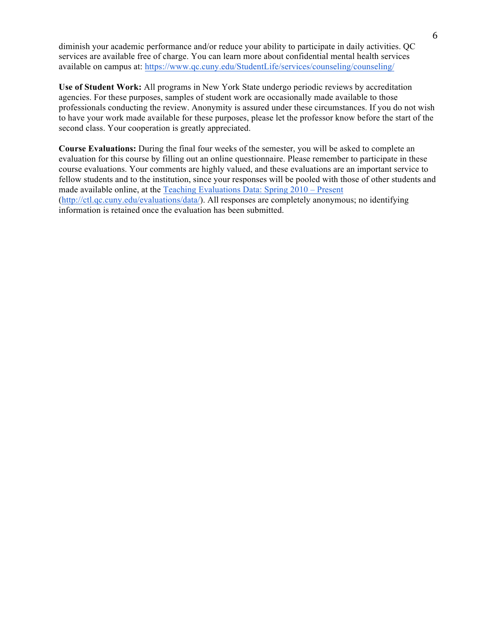diminish your academic performance and/or reduce your ability to participate in daily activities. QC services are available free of charge. You can learn more about confidential mental health services available on campus at: https://www.qc.cuny.edu/StudentLife/services/counseling/counseling/

**Use of Student Work:** All programs in New York State undergo periodic reviews by accreditation agencies. For these purposes, samples of student work are occasionally made available to those professionals conducting the review. Anonymity is assured under these circumstances. If you do not wish to have your work made available for these purposes, please let the professor know before the start of the second class. Your cooperation is greatly appreciated.

**Course Evaluations:** During the final four weeks of the semester, you will be asked to complete an evaluation for this course by filling out an online questionnaire. Please remember to participate in these course evaluations. Your comments are highly valued, and these evaluations are an important service to fellow students and to the institution, since your responses will be pooled with those of other students and made available online, at the Teaching Evaluations Data: Spring 2010 – Present (http://ctl.qc.cuny.edu/evaluations/data/). All responses are completely anonymous; no identifying information is retained once the evaluation has been submitted.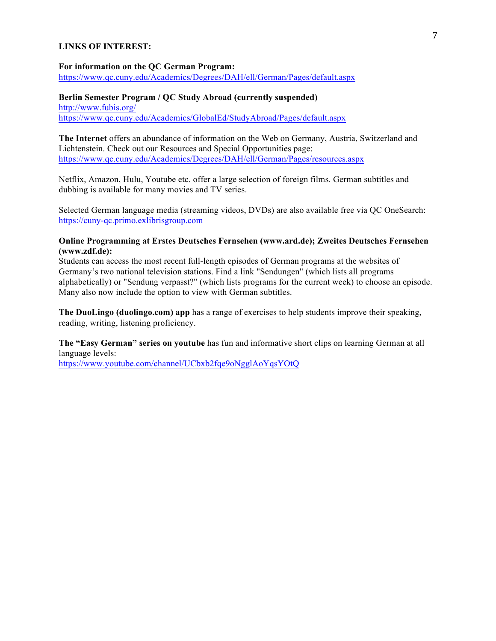#### **LINKS OF INTEREST:**

#### **For information on the QC German Program:**

https://www.qc.cuny.edu/Academics/Degrees/DAH/ell/German/Pages/default.aspx

### **Berlin Semester Program / QC Study Abroad (currently suspended)** http://www.fubis.org/ https://www.qc.cuny.edu/Academics/GlobalEd/StudyAbroad/Pages/default.aspx

**The Internet** offers an abundance of information on the Web on Germany, Austria, Switzerland and Lichtenstein. Check out our Resources and Special Opportunities page: https://www.qc.cuny.edu/Academics/Degrees/DAH/ell/German/Pages/resources.aspx

Netflix, Amazon, Hulu, Youtube etc. offer a large selection of foreign films. German subtitles and dubbing is available for many movies and TV series.

Selected German language media (streaming videos, DVDs) are also available free via QC OneSearch: https://cuny-qc.primo.exlibrisgroup.com

## **Online Programming at Erstes Deutsches Fernsehen (www.ard.de); Zweites Deutsches Fernsehen (www.zdf.de):**

Students can access the most recent full-length episodes of German programs at the websites of Germany's two national television stations. Find a link "Sendungen" (which lists all programs alphabetically) or "Sendung verpasst?" (which lists programs for the current week) to choose an episode. Many also now include the option to view with German subtitles.

**The DuoLingo (duolingo.com) app** has a range of exercises to help students improve their speaking, reading, writing, listening proficiency.

**The "Easy German" series on youtube** has fun and informative short clips on learning German at all language levels:

https://www.youtube.com/channel/UCbxb2fqe9oNgglAoYqsYOtQ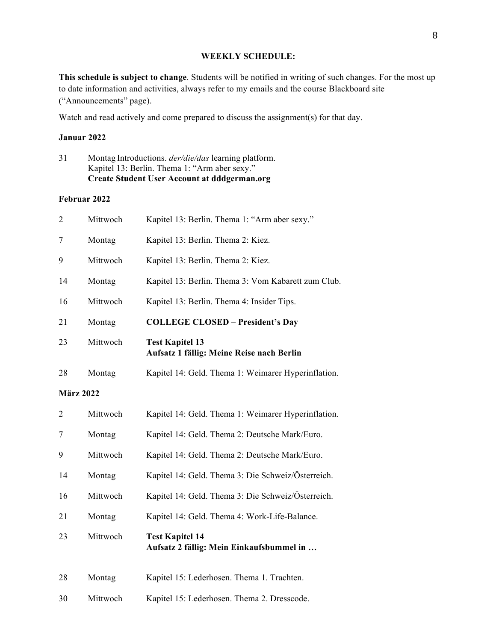## **WEEKLY SCHEDULE:**

**This schedule is subject to change**. Students will be notified in writing of such changes. For the most up to date information and activities, always refer to my emails and the course Blackboard site ("Announcements" page).

Watch and read actively and come prepared to discuss the assignment(s) for that day.

#### **Januar 2022**

|    | Create Student User Account at dddgerman.org                |
|----|-------------------------------------------------------------|
|    | Kapitel 13: Berlin. Thema 1: "Arm aber sexy."               |
| 31 | Montag Introductions. <i>der/die/das</i> learning platform. |

#### **Februar 2022**

| $\overline{2}$   | Mittwoch | Kapitel 13: Berlin. Thema 1: "Arm aber sexy."                       |
|------------------|----------|---------------------------------------------------------------------|
| 7                | Montag   | Kapitel 13: Berlin. Thema 2: Kiez.                                  |
| 9                | Mittwoch | Kapitel 13: Berlin. Thema 2: Kiez.                                  |
| 14               | Montag   | Kapitel 13: Berlin. Thema 3: Vom Kabarett zum Club.                 |
| 16               | Mittwoch | Kapitel 13: Berlin. Thema 4: Insider Tips.                          |
| 21               | Montag   | <b>COLLEGE CLOSED - President's Day</b>                             |
| 23               | Mittwoch | <b>Test Kapitel 13</b><br>Aufsatz 1 fällig: Meine Reise nach Berlin |
| 28               | Montag   | Kapitel 14: Geld. Thema 1: Weimarer Hyperinflation.                 |
| <b>März 2022</b> |          |                                                                     |
| $\overline{2}$   | Mittwoch | Kapitel 14: Geld. Thema 1: Weimarer Hyperinflation.                 |
| 7                | Montag   | Kapitel 14: Geld. Thema 2: Deutsche Mark/Euro.                      |
| 9                | Mittwoch | Kapitel 14: Geld. Thema 2: Deutsche Mark/Euro.                      |
| 14               | Montag   | Kapitel 14: Geld. Thema 3: Die Schweiz/Österreich.                  |
| 16               | Mittwoch | Kapitel 14: Geld. Thema 3: Die Schweiz/Österreich.                  |
| 21               | Montag   | Kapitel 14: Geld. Thema 4: Work-Life-Balance.                       |
| 23               | Mittwoch | <b>Test Kapitel 14</b><br>Aufsatz 2 fällig: Mein Einkaufsbummel in  |
| 28               | Montag   | Kapitel 15: Lederhosen. Thema 1. Trachten.                          |
| 30               | Mittwoch | Kapitel 15: Lederhosen. Thema 2. Dresscode.                         |